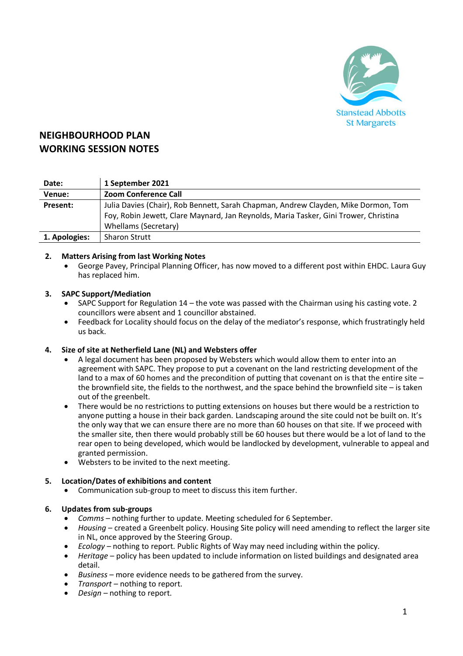

# **NEIGHBOURHOOD PLAN WORKING SESSION NOTES**

| Date:         | 1 September 2021                                                                     |
|---------------|--------------------------------------------------------------------------------------|
| Venue:        | <b>Zoom Conference Call</b>                                                          |
| Present:      | Julia Davies (Chair), Rob Bennett, Sarah Chapman, Andrew Clayden, Mike Dormon, Tom   |
|               | Foy, Robin Jewett, Clare Maynard, Jan Reynolds, Maria Tasker, Gini Trower, Christina |
|               | Whellams (Secretary)                                                                 |
| 1. Apologies: | <b>Sharon Strutt</b>                                                                 |

## **2. Matters Arising from last Working Notes**

• George Pavey, Principal Planning Officer, has now moved to a different post within EHDC. Laura Guy has replaced him.

#### **3. SAPC Support/Mediation**

- SAPC Support for Regulation 14 the vote was passed with the Chairman using his casting vote. 2 councillors were absent and 1 councillor abstained.
- Feedback for Locality should focus on the delay of the mediator's response, which frustratingly held us back.

#### **4. Size of site at Netherfield Lane (NL) and Websters offer**

- A legal document has been proposed by Websters which would allow them to enter into an agreement with SAPC. They propose to put a covenant on the land restricting development of the land to a max of 60 homes and the precondition of putting that covenant on is that the entire site – the brownfield site, the fields to the northwest, and the space behind the brownfield site – is taken out of the greenbelt.
- There would be no restrictions to putting extensions on houses but there would be a restriction to anyone putting a house in their back garden. Landscaping around the site could not be built on. It's the only way that we can ensure there are no more than 60 houses on that site. If we proceed with the smaller site, then there would probably still be 60 houses but there would be a lot of land to the rear open to being developed, which would be landlocked by development, vulnerable to appeal and granted permission.
- Websters to be invited to the next meeting.

#### **5. Location/Dates of exhibitions and content**

• Communication sub-group to meet to discuss this item further.

#### **6. Updates from sub-groups**

- *Comms* nothing further to update. Meeting scheduled for 6 September.
- *Housing* created a Greenbelt policy. Housing Site policy will need amending to reflect the larger site in NL, once approved by the Steering Group.
- *Ecology* nothing to report. Public Rights of Way may need including within the policy.
- *Heritage* policy has been updated to include information on listed buildings and designated area detail.
- *Business* more evidence needs to be gathered from the survey.
- *Transport* nothing to report.
- *Design*  nothing to report.